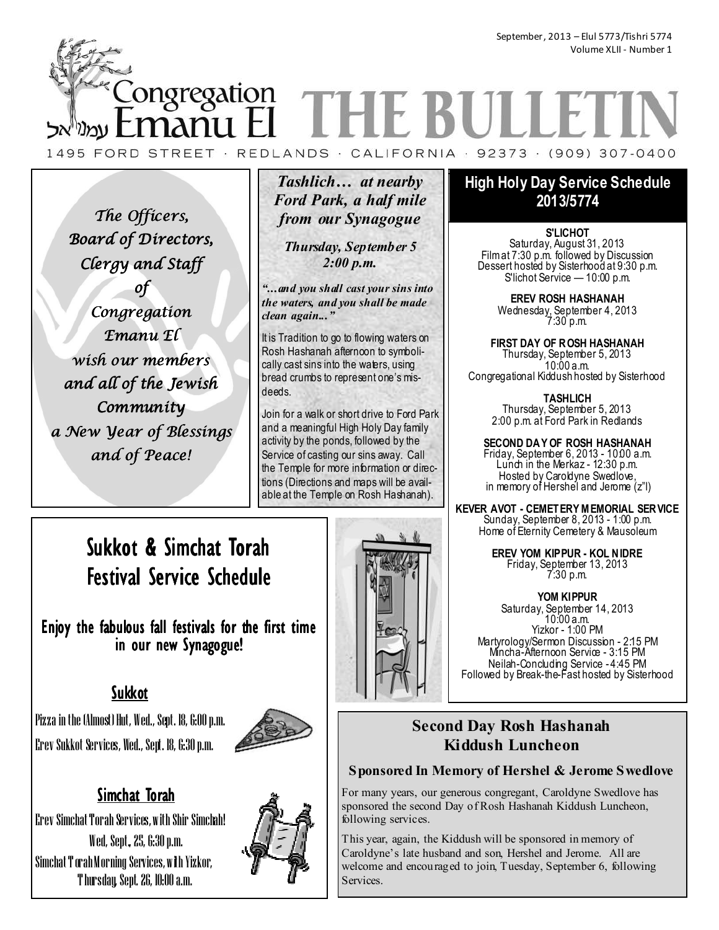# ongregation THE BUI manu I 1495 FORD STREET · REDLANDS · CALIFORNIA · 92373 · (909) 307-0400

The Officers, Board of Directors, Clergy and Staff of

Congregation Emanu El wish our members and all of the Jewish **Community** a New Year of Blessings and of Peace!

# *Tashlich… at nearby Ford Park, a half mile from our Synagogue*

*Thursday, September 5 2:00 p.m.* 

*"...and you shall cast your sins into the waters, and you shall be made clean again..."* 

It is Tradition to go to flowing waters on Rosh Hashanah afternoon to symbolically cast sins into the waters, using bread crumbs to represent one's misdeeds.

Join for a walk or short drive to Ford Park and a meaningful High Holy Day family activity by the ponds, followed by the Service of casting our sins away. Call the Temple for more information or directions (Directions and maps will be available at the Temple on Rosh Hashanah).

# Sukkot & Simchat Torah Festival Service Schedule

Enjoy the fabulous fall festivals for the first time in our new Synagogue!

# Sukkot

Pizza in the (Almost) Hut, Wed., Sept. 18, 6:00 p.m. Erev Sukkot Services, Wed., Sept. 18, 6:30 p.m.



# Simchat Torah

Erev Simchat Torah Services, with Shir Simchah! Wed, Sept., 25, 6:30 p.m. Simchat T orah Morning Services, with Yizkor, T hursday, Sept. 26, 10:00 a.m.



# **High Holy Day Service Schedule 2013/5774**

**S'LICHOT**  Saturday, August 31, 2013 Film at 7:30 p.m. followed by Discussion Dessert hosted by Sisterhood at 9:30 p.m. S'lichot Service — 10:00 p.m.

> **EREV ROSH HASHANAH**  Wednesday, September 4, 2013 7:30 p.m.

**FIRST DAY OF ROSH HASHANAH**  Thursday, September 5, 2013 10:00 a.m. Congregational Kiddush hosted by Sisterhood

> **TASHLICH**  Thursday, September 5, 2013 2:00 p.m. at Ford Park in Redlands

**SECOND DAY OF ROSH HASHANAH**  Friday, September 6, 2013 - 10:00 a.m. Lunch in the Merkaz - 12:30 p.m. Hosted by Caroldyne Swedlove, in memory of Hershel and Jerome (z"l)

**KEVER AVOT - CEMETERY M EMORIAL SERVICE**  Sunday, September 8, 2013 - 1:00 p.m. Home of Eternity Cemetery & Mausoleum

> **EREV YOM KIPPUR - KOL NIDRE**  Friday, September 13, 2013 7:30 p.m.

**YOM KIPPUR**  Saturday, September 14, 2013 10:00 a.m. Yizkor - 1:00 PM Martyrology/Sermon Discussion - 2:15 PM Mincha-Afternoon Service - 3:15 PM Neilah-Concluding Service - 4:45 PM Followed by Break-the-Fast hosted by Sisterhood

# **Second Day Rosh Hashanah Kiddush Luncheon**

## **Sponsored In Memory of Hershel & Jerome Swedlove**

For many years, our generous congregant, Caroldyne Swedlove has sponsored the second Day of Rosh Hashanah Kiddush Luncheon, following services.

This year, again, the Kiddush will be sponsored in memory of Caroldyne's late husband and son, Hershel and Jerome. All are welcome and encouraged to join, Tuesday, September 6, following Services.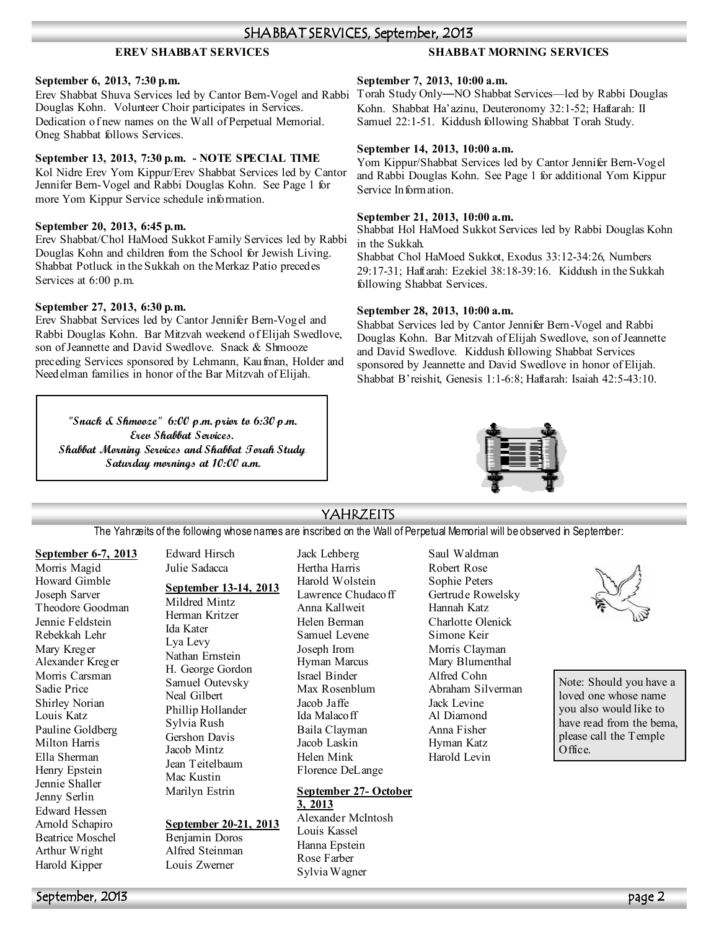### **EREV SHABBAT SERVICES**

### **September 6, 2013, 7:30 p.m.**

Erev Shabbat Shuva Services led by Cantor Bern-Vogel and Rabbi Torah Study Only—NO Shabbat Services—led by Rabbi Douglas Douglas Kohn. Volunteer Choir participates in Services. Dedication of new names on the Wall of Perpetual Memorial. Oneg Shabbat follows Services.

### September 13, 2013, 7:30 p.m. - NOTE SPECIAL TIME

Kol Nidre Erev Yom Kippur/Erev Shabbat Services led by Cantor Jennifer Bern-Vogel and Rabbi Douglas Kohn. See Page 1 for more Yom Kippur Service schedule information.

### **September 20, 2013, 6:45 p.m.**

Erev Shabbat/Chol HaMoed Sukkot Family Services led by Rabbi Douglas Kohn and children from the School for Jewish Living. Shabbat Potluck in the Sukkah on the Merkaz Patio precedes Services at 6:00 p.m.

### **September 27, 2013, 6:30 p.m.**

Erev Shabbat Services led by Cantor Jennifer Bern-Vogel and Rabbi Douglas Kohn. Bar Mitzvah weekend of Elijah Swedlove, son of Jeannette and David Swedlove. Snack & Shmooze preceding Services sponsored by Lehmann, Kaufman, Holder and Needelman families in honor of the Bar Mitzvah of Elijah.

**"Snack & Shmooze" 6:00 p.m. prior to 6:30 p.m. Erev Shabbat Services. Shabbat Morning Services and Shabbat Torah Study Saturday mornings at 10:00 a.m.** 

### **SHABBAT MORNING SERVICES**

#### **September 7, 2013, 10:00 a.m.**

Kohn. Shabbat Ha'azinu, Deuteronomy 32:1-52; Haftarah: II Samuel 22:1-51. Kiddush following Shabbat Torah Study.

#### **September 14, 2013, 10:00 a.m.**

Yom Kippur/Shabbat Services led by Cantor Jennifer Bern-Vogel and Rabbi Douglas Kohn. See Page 1 for additional Yom Kippur Service Information.

#### **September 21, 2013, 10:00 a.m.**

Shabbat Hol HaMoed Sukkot Services led by Rabbi Douglas Kohn in the Sukkah.

Shabbat Chol HaMoed Sukkot, Exodus 33:12-34:26, Numbers 29:17-31; Haftarah: Ezekiel 38:18-39:16. Kiddush in the Sukkah following Shabbat Services.

#### **September 28, 2013, 10:00 a.m.**

Shabbat Services led by Cantor Jennifer Bern-Vogel and Rabbi Douglas Kohn. Bar Mitzvah of Elijah Swedlove, son of Jeannette and David Swedlove. Kiddush following Shabbat Services sponsored by Jeannette and David Swedlove in honor of Elijah. Shabbat B'reishit, Genesis 1:1-6:8; Haftarah: Isaiah 42:5-43:10.



### YAHRZEITS

The Yahrzeits of the following whose names are inscribed on the Wall of Perpetual Memorial will be observed in September:

#### **September 6-7, 2013** Morris Magid Howard Gimble Joseph Sarver Theodore Goodman Jennie Feldstein Rebekkah Lehr Mary Kreger Alexander Kreger Morris Carsman Sadie Price Shirley Norian Louis Katz Pauline Goldberg Milton Harris Ella Sherman Henry Epstein Jennie Shaller Jenny Serlin Edward Hessen Arnold Schapiro Beatrice Moschel

Edward Hirsch Julie Sadacca

### **September 13-14, 2013**

Mildred Mintz Herman Kritzer Ida Kater Lya Levy Nathan Ernstein H. George Gordon Samuel Outevsky Neal Gilbert Phillip Hollander Sylvia Rush Gershon Davis Jacob Mintz Jean Teitelbaum Mac Kustin Marilyn Estrin

### **September 20-21, 2013**

Benjamin Doros Alfred Steinman Louis Zwerner

Jack Lehberg Hertha Harris Harold Wolstein Lawrence Chudacoff Anna Kallweit Helen Berman Samuel Levene Joseph Irom Hyman Marcus Israel Binder Max Rosenblum Jacob Jaffe Ida Malacoff Baila Clayman Jacob Laskin Helen Mink Florence DeLange

### **September 27- October 3, 2013**

Alexander McIntosh Louis Kassel Hanna Epstein Rose Farber Sylvia Wagner

Saul Waldman Robert Rose Sophie Peters Gertrude Rowelsky Hannah Katz Charlotte Olenick Simone Keir Morris Clayman Mary Blumenthal Alfred Cohn Abraham Silverman Jack Levine Al Diamond Anna Fisher Hyman Katz Harold Levin



Note: Should you have a loved one whose name you also would like to have read from the bema. please call the Temple Office.

Arthur Wright Harold Kipper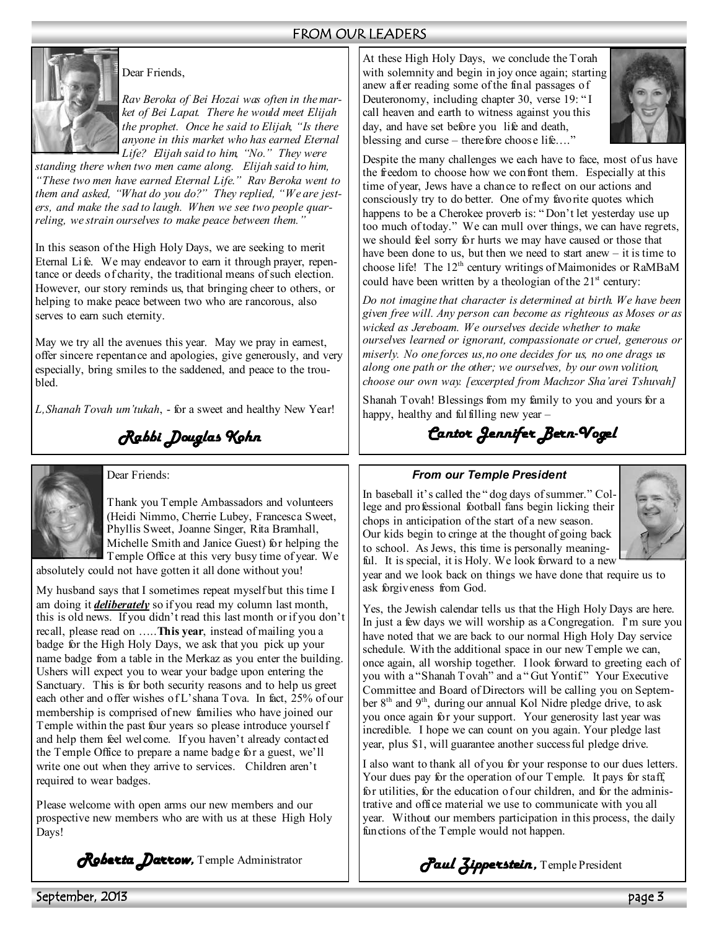### FROM OUR LEADERS



### Dear Friends,

*Rav Beroka of Bei Hozai was often in the market of Bei Lapat. There he would meet Elijah the prophet. Once he said to Elijah, "Is there anyone in this market who has earned Eternal Life? Elijah said to him, "%o." They were* 

*standing there when two men came along. Elijah said to him, "These two men have earned Eternal Life." Rav Beroka went to them and asked, "What do you do?" They replied, "We are jesters, and make the sad to laugh. When we see two people quarreling, we strain ourselves to make peace between them."* 

In this season of the High Holy Days, we are seeking to merit Eternal Life. We may endeavor to earn it through prayer, repentance or deeds of charity, the traditional means of such election. However, our story reminds us, that bringing cheer to others, or helping to make peace between two who are rancorous, also serves to earn such eternity.

May we try all the avenues this year. May we pray in earnest, offer sincere repentance and apologies, give generously, and very especially, bring smiles to the saddened, and peace to the troubled.

*L,Shanah Tovah um'tukah*, - for a sweet and healthy New Year!

*Rabbi Douglas Kohn* 



Dear Friends:

Thank you Temple Ambassadors and volunteers (Heidi Nimmo, Cherrie Lubey, Francesca Sweet, Phyllis Sweet, Joanne Singer, Rita Bramhall, Michelle Smith and Janice Guest) for helping the Temple Office at this very busy time of year. We

absolutely could not have gotten it all done without you!

My husband says that I sometimes repeat myself but this time I am doing it *deliberately* so if you read my column last month, this is old news. If you didn't read this last month or if you don't recall, please read on …..**This year**, instead of mailing you a badge for the High Holy Days, we ask that you pick up your name badge from a table in the Merkaz as you enter the building. Ushers will expect you to wear your badge upon entering the Sanctuary. This is for both security reasons and to help us greet each other and offer wishes of L'shana Tova. In fact, 25% of our membership is comprised of new families who have joined our Temple within the past four years so please introduce yourself and help them feel welcome. If you haven't already contacted the Temple Office to prepare a name badge for a guest, we'll write one out when they arrive to services. Children aren't required to wear badges.

Please welcome with open arms our new members and our prospective new members who are with us at these High Holy Days!

*Roberta Darrow, Roberta Darrow* Temple Administrator

At these High Holy Days, we conclude the Torah with solemnity and begin in joy once again; starting anew after reading some of the final passages of Deuteronomy, including chapter 30, verse 19: " I call heaven and earth to witness against you this day, and have set before you life and death, blessing and curse – therefore choose life...."



Despite the many challenges we each have to face, most of us have the freedom to choose how we confront them. Especially at this time of year, Jews have a chance to reflect on our actions and consciously try to do better. One of my favorite quotes which happens to be a Cherokee proverb is: "Don't let yesterday use up too much of today." We can mull over things, we can have regrets, we should feel sorry for hurts we may have caused or those that have been done to us, but then we need to start anew – it is time to choose life! The 12<sup>th</sup> century writings of Maimonides or RaMBaM could have been written by a theologian of the  $21<sup>st</sup>$  century:

*Do not imagine that character is determined at birth. We have been given free will. Any person can become as righteous as Moses or as wicked as Jereboam. We ourselves decide whether to make ourselves learned or ignorant, compassionate or cruel, generous or miserly. %o one forces us,no one decides for us, no one drags us along one path or the other; we ourselves, by our own volition, choose our own way. [excerpted from Machzor Sha'arei Tshuvah]* 

Shanah Tovah! Blessings from my family to you and yours for a happy, healthy and fulfilling new year –

*Cantor Jennifer Bern- Cantor Jennifer Bern-Vogel*

### *From our Temple President*

In baseball it's called the " dog days of summer." College and professional football fans begin licking their chops in anticipation of the start of a new season. Our kids begin to cringe at the thought of going back to school. As Jews, this time is personally meaningful. It is special, it is Holy. We look forward to a new



year and we look back on things we have done that require us to ask forgiveness from God.

Yes, the Jewish calendar tells us that the High Holy Days are here. In just a few days we will worship as a Congregation. I'm sure you have noted that we are back to our normal High Holy Day service schedule. With the additional space in our new Temple we can, once again, all worship together. I look forward to greeting each of you with a "Shanah Tovah" and a " Gut Yontif." Your Executive Committee and Board of Directors will be calling you on September 8th and 9th, during our annual Kol Nidre pledge drive, to ask you once again for your support. Your generosity last year was incredible. I hope we can count on you again. Your pledge last year, plus \$1, will guarantee another successful pledge drive.

I also want to thank all of you for your response to our dues letters. Your dues pay for the operation of our Temple. It pays for staff, for utilities, for the education of our children, and for the administrative and office material we use to communicate with you all year. Without our members participation in this process, the daily functions of the Temple would not happen.

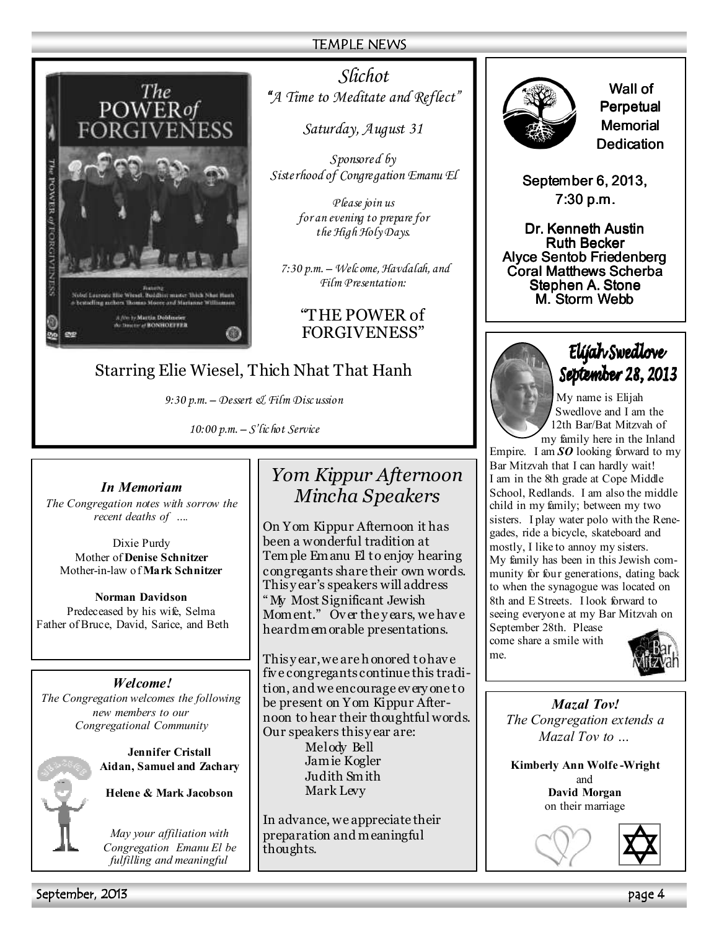### TEMPLE NEWS



*Slichot "A Time to Meditate and Reflect" "*

*Saturday, August 31* 

*Sponsored by Sisterhood of Congregation Emanu El* 

> *Please join us for an evening to prepare for the High Holy Days.*

*7:30 p.m. – Welc ome, Havdalah, and Film Presentation:* 

### "THE POWER of FORGIVENESS"

# Starring Elie Wiesel, Thich Nhat That Hanh

*9:30 p.m. – Dessert & Film Disc ussion* 

*10:00 p.m. – S'lic hot Service*

### *In Memoriam*

*The Congregation notes with sorrow the recent deaths of ….* 

Dixie Purdy Mother of **Denise Schnitzer**  Mother-in-law of **Mark Schnitzer** 

**Norman Davidson** Predeceased by his wife, Selma Father of Bruce, David, Sarice, and Beth

*Welcome! The Congregation welcomes the following new members to our Congregational Community* 

| ÷ |
|---|
|   |
|   |

**Jennifer Cristall Aidan, Samuel and Zachary** 

**Helene & Mark Jacobson** 

*May your affiliation with Congregation Emanu El be fulfilling and meaningful*

# *Yom Kippur Afternoon Mincha Speakers*

On Yom Kippur Afternoon it has been a wonderful tradition at Tem ple Em anu El to enjoy hearing congregants share their own words. This y ear's speakers will address " My Most Significant Jewish Moment." Over the years, we have heard m em orable presentations.

This y ear, we are h onored to hav e fiv e congregants continue this tradition, and we encourage ev ery one to be present on Yom Kippur Afternoon to hear their thoughtful words. Our speakers this y ear are: Melody Bell Jam ie Kogler Judith Sm ith Mark Levy

In advance, we appreciate their preparation and m eaningful thoughts.



Wall of Perpetual **Memorial** Dedication

September 6, 2013,  $7:30$  p.m.

Dr. Kenneth Austin **Ruth Becker** Alyce Sentob Friedenberg Coral Matthews Scherba Stephen A. Stone M. Storm Webb



Elýah Swedlove September 28, 2013

My name is Elijah Swedlove and I am the 12th Bar/Bat Mitzvah of my family here in the Inland

Empire. I am  $SO$  looking forward to my Bar Mitzvah that I can hardly wait! I am in the 8th grade at Cope Middle School, Redlands. I am also the middle child in my family; between my two sisters. I play water polo with the Renegades, ride a bicycle, skateboard and mostly, I like to annoy my sisters. My family has been in this Jewish community for four generations, dating back to when the synagogue was located on 8th and E Streets. I look forward to seeing everyone at my Bar Mitzvah on September 28th. Please

come share a smile with me.



### *Mazal Tov! The Congregation extends a Mazal Tov to …*

**Kimberly Ann Wolfe -Wright**  and **David Morgan**  on their marriage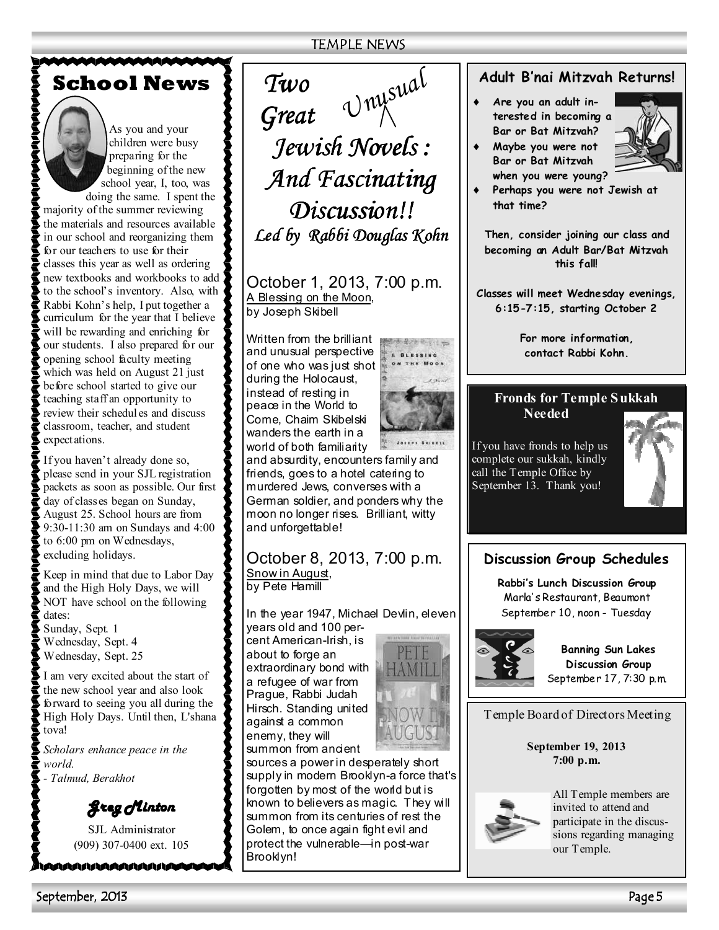**School News**



As you and your children were busy preparing for the beginning of the new school year, I, too, was

doing the same. I spent the majority of the summer reviewing the materials and resources available in our school and reorganizing them for our teachers to use for their classes this year as well as ordering new textbooks and workbooks to add to the school's inventory. Also, with Rabbi Kohn's help, I put together a curriculum for the year that I believe will be rewarding and enriching for our students. I also prepared for our opening school faculty meeting which was held on August 21 just before school started to give our teaching staff an opportunity to review their schedules and discuss classroom, teacher, and student expectations.

If you haven't already done so, please send in your SJL registration packets as soon as possible. Our first day of classes began on Sunday, August 25. School hours are from 9:30-11:30 am on Sundays and 4:00 to 6:00 pm on Wednesdays, excluding holidays.

Keep in mind that due to Labor Day and the High Holy Days, we will NOT have school on the following dates:

Sunday, Sept. 1 Wednesday, Sept. 4 Wednesday, Sept. 25

I am very excited about the start of the new school year and also look forward to seeing you all during the High Holy Days. Until then, L'shana tova!

*Scholars enhance peace in the world. - Talmud, Berakhot* 

*Greg Minton Greg Minton* 

SJL Administrator (909) 307-0400 ext. 105

MAAAAAAAAAA

TEMPLE NEWS

*Two Great Jewish Novels : Jewish Novels : And Fascinating And Fascinating Discussion!! Discussion!!*  Led by Rabbi Douglas Kohn *Unusual*

October 1, 2013, 7:00 p.m. A Blessing on the Moon, by Joseph Skibell

Written from the brilliant and unusual perspective of one who was just shot during the Holocaust, instead of resting in peace in the World to Come, Chaim Skibelski wanders the earth in a world of both familiarity



and absurdity, encounters family and friends, goes to a hotel catering to murdered Jews, converses with a German soldier, and ponders why the moon no longer rises. Brilliant, witty and unforgettable!

# October 8, 2013, 7:00 p.m. Snow in August,

by Pete Hamill

In the year 1947, Michael Devlin, eleven years old and 100 per-

cent American-Irish, is about to forge an extraordinary bond with a refugee of war from Prague, Rabbi Judah Hirsch. Standing united against a common enemy, they will summon from ancient



sources a power in desperately short supply in modern Brooklyn-a force that's forgotten by most of the world but is known to believers as magic. They will summon from its centuries of rest the Golem, to once again fight evil and protect the vulnerable—in post-war Brooklyn!

## **Adult B'nai Mitzvah Returns!**

- Are you an adult in**terested in becoming a Bar or Bat Mitzvah?**
- **Maybe you were not Bar or Bat Mitzvah**



**when you were young?**  Perhaps you were not Jewish at **that time?** 

**Then, consider joining our class and becoming an Adult Bar/Bat Mitzvah this fall!** 

**Classes will meet Wednesday evenings, 6:15-7:15, starting October 2** 

> **For more information, contact Rabbi Kohn.**

# **Fronds for Temple Sukkah**

**Needed** 

If you have fronds to help us complete our sukkah, kindly call the Temple Office by September 13. Thank you!



## **Discussion Group Schedules**

**Rabbi's Lunch Discussion Group**  Marla' s Restaurant, Beaumont September 10, noon - Tuesday



**Banning Sun Lakes Discussion Group**  September 17, 7:30 p.m.

Temple Board of Directors Meeting

**September 19, 2013 7:00 p.m.** 



All Temple members are invited to attend and participate in the discussions regarding managing our Temple.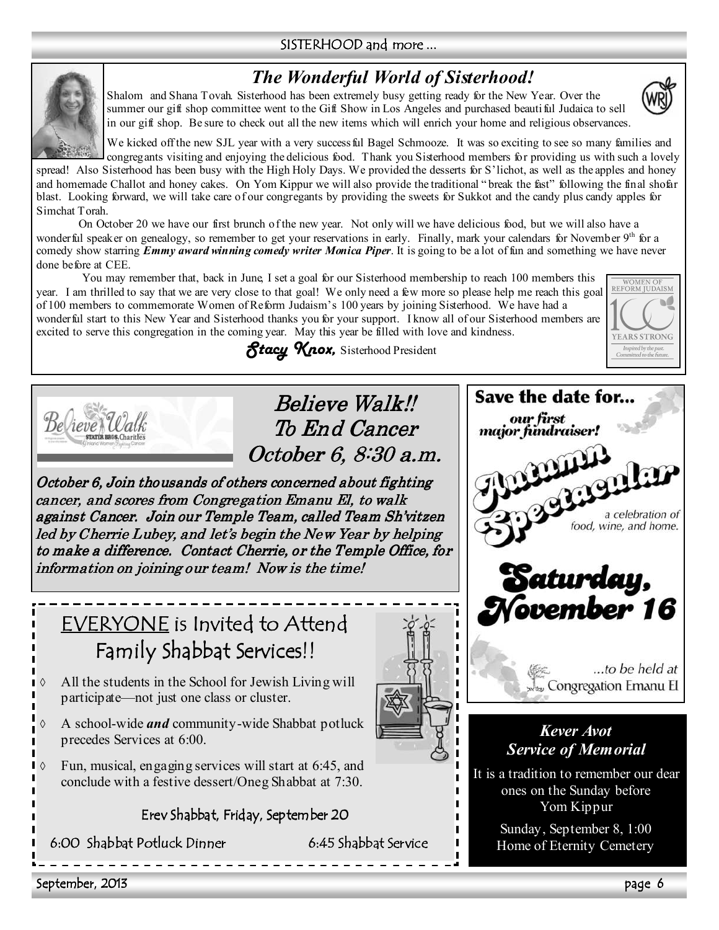### SISTERHOOD and more ...

# *The Wonderful World of Sisterhood!*

Shalom and Shana Tovah. Sisterhood has been extremely busy getting ready for the New Year. Over the



WOMEN OF<br>REFORM JUDAISM

**YEARS STRONG** Inspired by the past.<br>Committed to the future



summer our gift shop committee went to the Gift Show in Los Angeles and purchased beautiful Judaica to sell in our gift shop. Be sure to check out all the new items which will enrich your home and religious observances.

We kicked off the new SJL year with a very success ful Bagel Schmooze. It was so exciting to see so many families and congregants visiting and enjoying the delicious food. Thank you Sisterhood members for providing us with such a lovely spread! Also Sisterhood has been busy with the High Holy Days. We provided the desserts for S'lichot, as well as the apples and honey and homemade Challot and honey cakes. On Yom Kippur we will also provide the traditional " break the fast" following the final shofar blast. Looking forward, we will take care of our congregants by providing the sweets for Sukkot and the candy plus candy apples for Simchat Torah.

On October 20 we have our first brunch of the new year. Not only will we have delicious food, but we will also have a wonderful speaker on genealogy, so remember to get your reservations in early. Finally, mark your calendars for November 9<sup>th</sup> for a comedy show starring *Emmy award winning comedy writer Monica Piper*. It is going to be a lot of fun and something we have never done before at CEE.

You may remember that, back in June, I set a goal for our Sisterhood membership to reach 100 members this year. I am thrilled to say that we are very close to that goal! We only need a few more so please help me reach this goal of 100 members to commemorate Women of Reform Judaism's 100 years by joining Sisterhood. We have had a wonderful start to this New Year and Sisterhood thanks you for your support. I know all of our Sisterhood members are excited to serve this congregation in the coming year. May this year be filled with love and kindness.

*Stacy Knox,* Sisterhood President



Believe Walk!! To End Cancer October 6, 8:30 a.m.

October 6, Join thousands of others concerned about fighting cancer, and scores from Congregation Emanu El, to walk against Cancer. Join our Temple Team, called Team Sh'vitzen led by Cherrie Lubey, and let's begin the New Year by helping to make a difference. Contact Cherrie, or the Temple Office, for information on joining our team! Now is the time!

# EVERYONE is Invited to Attend Family Shabbat Services!!



◊ A school-wide *and* community-wide Shabbat potluck precedes Services at 6:00.

Fun, musical, engaging services will start at 6:45, and conclude with a festive dessert/Oneg Shabbat at 7:30.

Erev Shabbat, Friday, September 20

6:00 Shabbat Potluck Dinner 6:45 Shabbat Service



September, 2013 page 6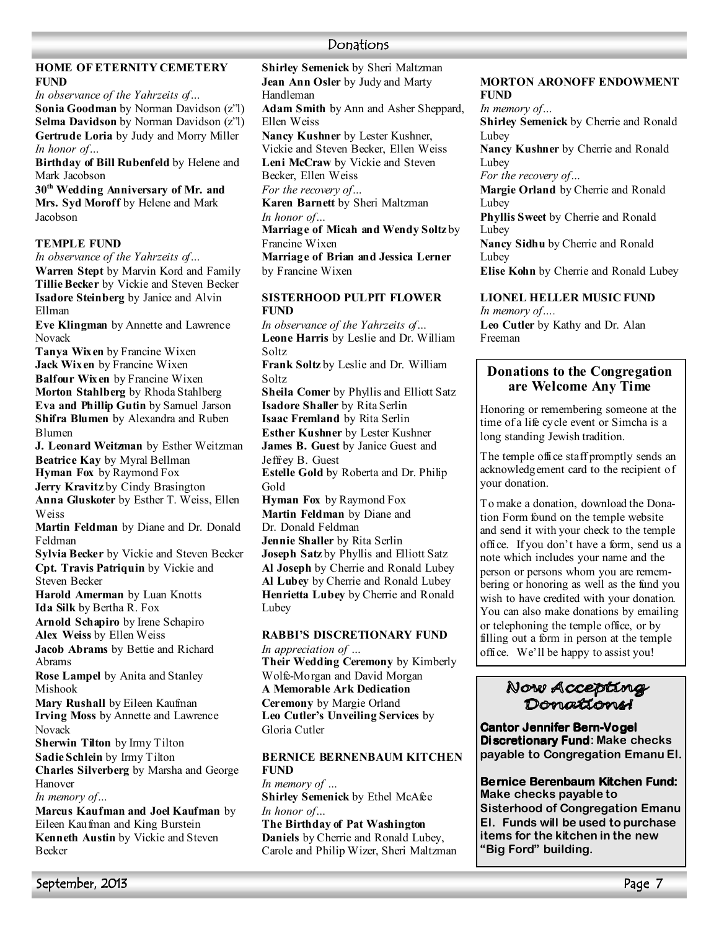# **Donations**

### **HOME OF ETERNITY CEMETERY FUND**

*In observance of the Yahrzeits of…*  **Sonia Goodman** by Norman Davidson (z"l) **Selma Davidson** by Norman Davidson (z"l) **Gertrude Loria** by Judy and Morry Miller *In honor of…* 

**Birthday of Bill Rubenfeld** by Helene and Mark Jacobson

**30th Wedding Anniversary of Mr. and Mrs. Syd Moroff** by Helene and Mark Jacobson

### **TEMPLE FUND**

*In observance of the Yahrzeits of…*  **Warren Stept** by Marvin Kord and Family **Tillie Becker** by Vickie and Steven Becker **Isadore Steinberg** by Janice and Alvin Ellman

**Eve Klingman** by Annette and Lawrence Novack

**Tanya Wixen** by Francine Wixen **Jack Wixen** by Francine Wixen **Balfour Wixen** by Francine Wixen **Morton Stahlberg** by Rhoda Stahlberg **Eva and Phillip Gutin** by Samuel Jarson **Shifra Blumen** by Alexandra and Ruben Blumen

**J. Leonard Weitzman** by Esther Weitzman **Beatrice Kay** by Myral Bellman **Hyman Fox** by Raymond Fox

**Jerry Kravitz** by Cindy Brasington

**Anna Gluskoter** by Esther T. Weiss, Ellen Weiss

**Martin Feldman** by Diane and Dr. Donald Feldman

**Sylvia Becker** by Vickie and Steven Becker **Cpt. Travis Patriquin** by Vickie and Steven Becker

**Harold Amerman** by Luan Knotts **Ida Silk** by Bertha R. Fox

**Arnold Schapiro** by Irene Schapiro **Alex Weiss** by Ellen Weiss

**Jacob Abrams** by Bettie and Richard Abrams

**Rose Lampel** by Anita and Stanley Mishook

**Mary Rushall** by Eileen Kaufman **Irving Moss** by Annette and Lawrence Novack

**Sherwin Tilton** by Irmy Tilton

**Sadie Schlein** by Irmy Tilton

**Charles Silverberg** by Marsha and George Hanover *In memory of…* 

**Marcus Kaufman and Joel Kaufman** by Eileen Kaufman and King Burstein **Kenneth Austin** by Vickie and Steven Becker

**Shirley Semenick** by Sheri Maltzman **Jean Ann Osler** by Judy and Marty Handleman **Adam Smith** by Ann and Asher Sheppard, Ellen Weiss **2ancy Kushner** by Lester Kushner, Vickie and Steven Becker, Ellen Weiss

**Leni McCraw** by Vickie and Steven Becker, Ellen Weiss

*For the recovery of…*  **Karen Barnett** by Sheri Maltzman

*In honor of…* 

**Marriage of Micah and Wendy Soltz** by Francine Wixen

**Marriage of Brian and Jessica Lerner** by Francine Wixen

### **SISTERHOOD PULPIT FLOWER FUND**

*In observance of the Yahrzeits of…* **Leone Harris** by Leslie and Dr. William Soltz **Frank Soltz** by Leslie and Dr. William Soltz **Sheila Comer** by Phyllis and Elliott Satz **Isadore Shaller** by Rita Serlin **Isaac Fremland** by Rita Serlin

**Esther Kushner** by Lester Kushner **James B. Guest** by Janice Guest and

Jeffrey B. Guest

**Estelle Gold** by Roberta and Dr. Philip Gold

**Hyman Fox** by Raymond Fox

**Martin Feldman** by Diane and Dr. Donald Feldman

**Jennie Shaller** by Rita Serlin

**Joseph Satz** by Phyllis and Elliott Satz **Al Joseph** by Cherrie and Ronald Lubey **Al Lubey** by Cherrie and Ronald Lubey **Henrietta Lubey** by Cherrie and Ronald Lubey

### **RABBI'S DISCRETIONARY FUND**

*In appreciation of …*  **Their Wedding Ceremony** by Kimberly Wolfe-Morgan and David Morgan **A Memorable Ark Dedication Ceremony** by Margie Orland **Leo Cutler's Unveiling Services** by Gloria Cutler

### **BERNICE BERNENBAUM KITCHEN FUND**

*In memory of …*  **Shirley Semenick** by Ethel McAfee *In honor of…*  **The Birthday of Pat Washington Daniels** by Cherrie and Ronald Lubey, Carole and Philip Wizer, Sheri Maltzman

### **MORTON ARONOFF ENDOWMENT FUND**

*In memory of…*  **Shirley Semenick** by Cherrie and Ronald Lubey **Nancy Kushner** by Cherrie and Ronald Lubey *For the recovery of…*  **Margie Orland** by Cherrie and Ronald Lubey **Phyllis Sweet** by Cherrie and Ronald **Lubey** Nancy Sidhu by Cherrie and Ronald Lubey **Elise Kohn** by Cherrie and Ronald Lubey

**LIONEL HELLER MUSIC FUND** 

*In memory of….*  **Leo Cutler** by Kathy and Dr. Alan Freeman

### **Donations to the Congregation are Welcome Any Time**

Honoring or remembering someone at the time of a life cycle event or Simcha is a long standing Jewish tradition.

The temple office staff promptly sends an acknowledgement card to the recipient of your donation.

To make a donation, download the Donation Form found on the temple website and send it with your check to the temple office. If you don't have a form, send us a note which includes your name and the person or persons whom you are remembering or honoring as well as the fund you wish to have credited with your donation. You can also make donations by emailing or telephoning the temple office, or by filling out a form in person at the temple office. We'll be happy to assist you!

# Now Accepting<br>Donations

**Cantor Jennifer Bern-Vogel Discretionary Fund: Make checks payable to Congregation Emanu El.** 

**Bernice Berenbaum Kitchen Fund: Make checks payable to Sisterhood of Congregation Emanu El. Funds will be used to purchase items for the kitchen in the new "Big Ford" building.**